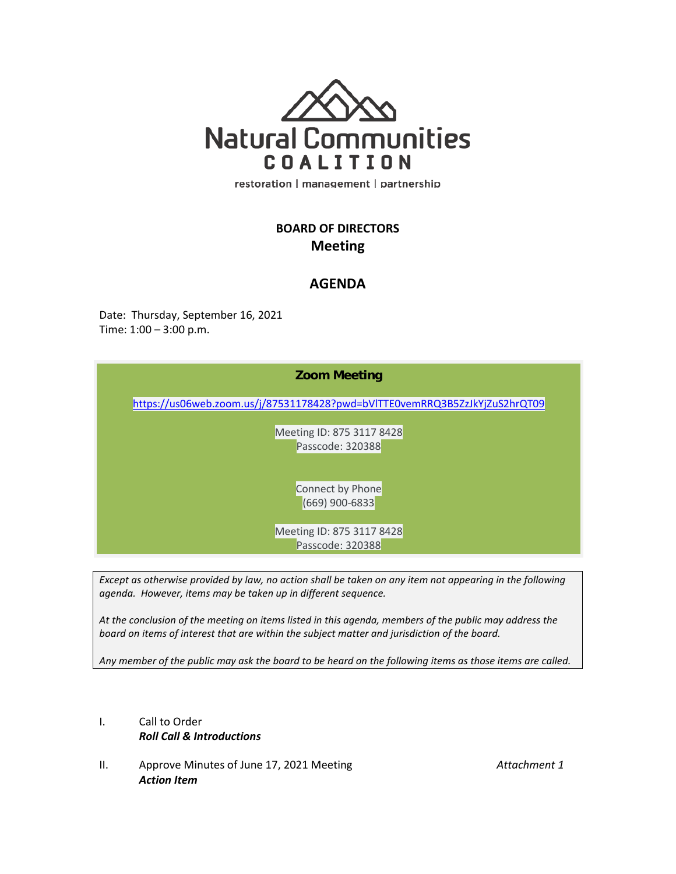

restoration | management | partnership

## **BOARD OF DIRECTORS Meeting**

## **AGENDA**

Date: Thursday, September 16, 2021 Time: 1:00 – 3:00 p.m.

| <b>Zoom Meeting</b>                                                        |
|----------------------------------------------------------------------------|
| https://us06web.zoom.us/j/87531178428?pwd=bVITTE0vemRRQ3B5ZzJkYjZuS2hrQT09 |
| Meeting ID: 875 3117 8428<br>Passcode: 320388                              |
| Connect by Phone<br>(669) 900-6833                                         |
| Meeting ID: 875 3117 8428<br>Passcode: 320388                              |
|                                                                            |

*Except as otherwise provided by law, no action shall be taken on any item not appearing in the following agenda. However, items may be taken up in different sequence.*

*At the conclusion of the meeting on items listed in this agenda, members of the public may address the board on items of interest that are within the subject matter and jurisdiction of the board.*

*Any member of the public may ask the board to be heard on the following items as those items are called.*

- I. Call to Order *Roll Call & Introductions*
- II. Approve Minutes of June 17, 2021 Meeting *Attachment 1 Action Item*